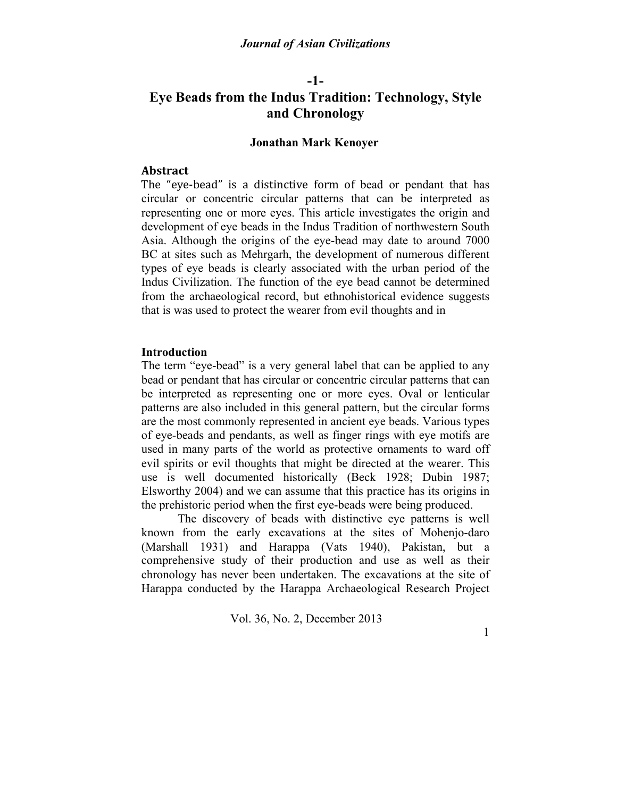# **-1- Eye Beads from the Indus Tradition: Technology, Style and Chronology**

### **Jonathan Mark Kenoyer**

### **Abstract**

The "eye-bead" is a distinctive form of bead or pendant that has circular or concentric circular patterns that can be interpreted as representing one or more eyes. This article investigates the origin and development of eye beads in the Indus Tradition of northwestern South Asia. Although the origins of the eye-bead may date to around 7000 BC at sites such as Mehrgarh, the development of numerous different types of eye beads is clearly associated with the urban period of the Indus Civilization. The function of the eye bead cannot be determined from the archaeological record, but ethnohistorical evidence suggests that is was used to protect the wearer from evil thoughts and in

### **Introduction**

The term "eye-bead" is a very general label that can be applied to any bead or pendant that has circular or concentric circular patterns that can be interpreted as representing one or more eyes. Oval or lenticular patterns are also included in this general pattern, but the circular forms are the most commonly represented in ancient eye beads. Various types of eye-beads and pendants, as well as finger rings with eye motifs are used in many parts of the world as protective ornaments to ward off evil spirits or evil thoughts that might be directed at the wearer. This use is well documented historically (Beck 1928; Dubin 1987; Elsworthy 2004) and we can assume that this practice has its origins in the prehistoric period when the first eye-beads were being produced.

The discovery of beads with distinctive eye patterns is well known from the early excavations at the sites of Mohenjo-daro (Marshall 1931) and Harappa (Vats 1940), Pakistan, but a comprehensive study of their production and use as well as their chronology has never been undertaken. The excavations at the site of Harappa conducted by the Harappa Archaeological Research Project

Vol. 36, No. 2, December 2013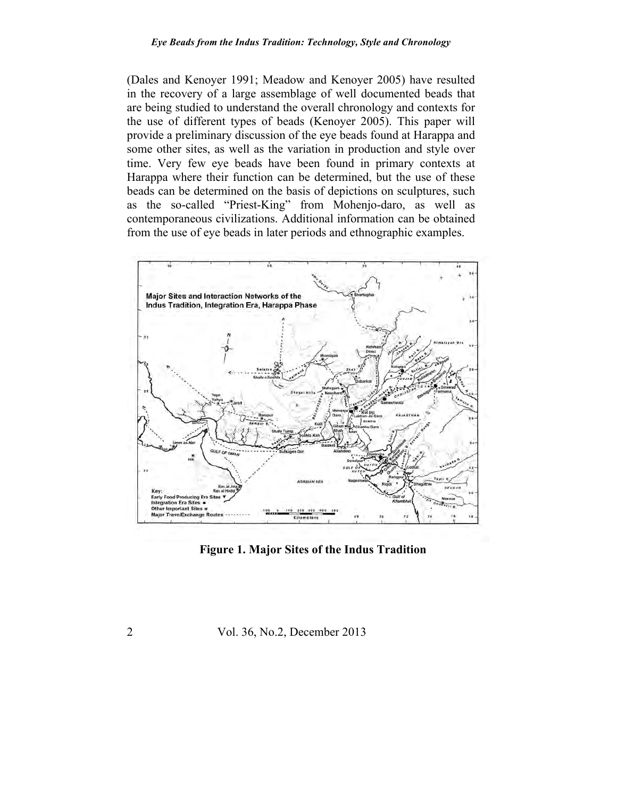#### *Eye Beads from the Indus Tradition: Technology, Style and Chronology*

(Dales and Kenoyer 1991; Meadow and Kenoyer 2005) have resulted in the recovery of a large assemblage of well documented beads that are being studied to understand the overall chronology and contexts for the use of different types of beads (Kenoyer 2005). This paper will provide a preliminary discussion of the eye beads found at Harappa and some other sites, as well as the variation in production and style over time. Very few eye beads have been found in primary contexts at Harappa where their function can be determined, but the use of these beads can be determined on the basis of depictions on sculptures, such as the so-called "Priest-King" from Mohenjo-daro, as well as contemporaneous civilizations. Additional information can be obtained from the use of eye beads in later periods and ethnographic examples.



**Figure 1. Major Sites of the Indus Tradition**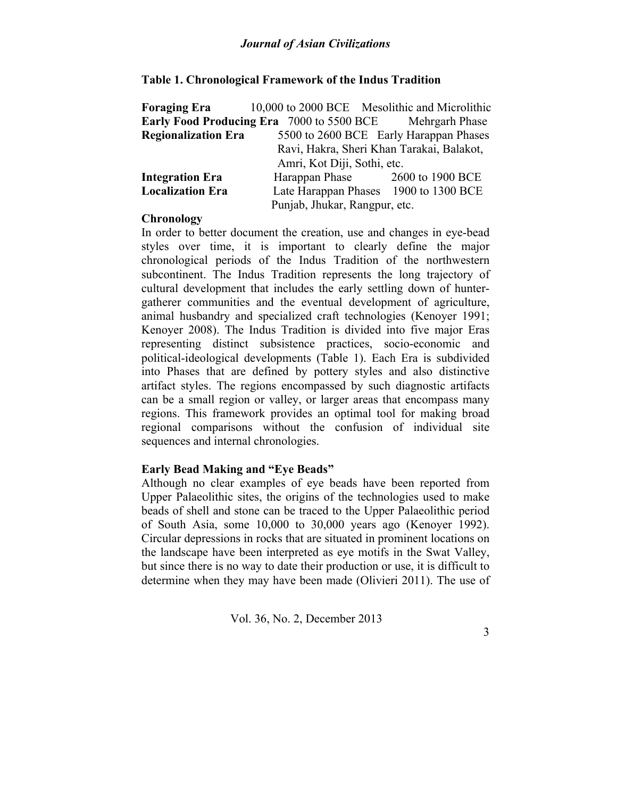## **Table 1. Chronological Framework of the Indus Tradition**

|                                                                 | <b>Foraging Era</b> 10,000 to 2000 BCE Mesolithic and Microlithic |                                        |
|-----------------------------------------------------------------|-------------------------------------------------------------------|----------------------------------------|
| <b>Early Food Producing Era</b> 7000 to 5500 BCE Mehrgarh Phase |                                                                   |                                        |
| <b>Regionalization Era</b>                                      |                                                                   | 5500 to 2600 BCE Early Harappan Phases |
|                                                                 | Ravi, Hakra, Sheri Khan Tarakai, Balakot,                         |                                        |
|                                                                 | Amri, Kot Diji, Sothi, etc.                                       |                                        |
| <b>Integration Era</b>                                          | Harappan Phase 2600 to 1900 BCE                                   |                                        |
| <b>Localization Era</b>                                         | Late Harappan Phases 1900 to 1300 BCE                             |                                        |
| Punjab, Jhukar, Rangpur, etc.                                   |                                                                   |                                        |

## **Chronology**

In order to better document the creation, use and changes in eye-bead styles over time, it is important to clearly define the major chronological periods of the Indus Tradition of the northwestern subcontinent. The Indus Tradition represents the long trajectory of cultural development that includes the early settling down of huntergatherer communities and the eventual development of agriculture, animal husbandry and specialized craft technologies (Kenoyer 1991; Kenoyer 2008). The Indus Tradition is divided into five major Eras representing distinct subsistence practices, socio-economic and political-ideological developments (Table 1). Each Era is subdivided into Phases that are defined by pottery styles and also distinctive artifact styles. The regions encompassed by such diagnostic artifacts can be a small region or valley, or larger areas that encompass many regions. This framework provides an optimal tool for making broad regional comparisons without the confusion of individual site sequences and internal chronologies.

## **Early Bead Making and "Eye Beads"**

Although no clear examples of eye beads have been reported from Upper Palaeolithic sites, the origins of the technologies used to make beads of shell and stone can be traced to the Upper Palaeolithic period of South Asia, some 10,000 to 30,000 years ago (Kenoyer 1992). Circular depressions in rocks that are situated in prominent locations on the landscape have been interpreted as eye motifs in the Swat Valley, but since there is no way to date their production or use, it is difficult to determine when they may have been made (Olivieri 2011). The use of

Vol. 36, No. 2, December 2013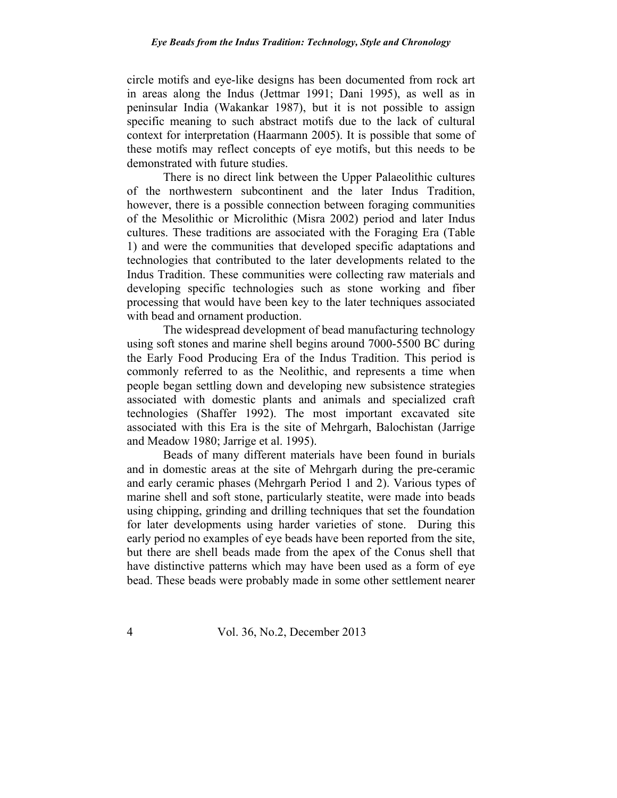circle motifs and eye-like designs has been documented from rock art in areas along the Indus (Jettmar 1991; Dani 1995), as well as in peninsular India (Wakankar 1987), but it is not possible to assign specific meaning to such abstract motifs due to the lack of cultural context for interpretation (Haarmann 2005). It is possible that some of these motifs may reflect concepts of eye motifs, but this needs to be demonstrated with future studies.

There is no direct link between the Upper Palaeolithic cultures of the northwestern subcontinent and the later Indus Tradition, however, there is a possible connection between foraging communities of the Mesolithic or Microlithic (Misra 2002) period and later Indus cultures. These traditions are associated with the Foraging Era (Table 1) and were the communities that developed specific adaptations and technologies that contributed to the later developments related to the Indus Tradition. These communities were collecting raw materials and developing specific technologies such as stone working and fiber processing that would have been key to the later techniques associated with bead and ornament production.

The widespread development of bead manufacturing technology using soft stones and marine shell begins around 7000-5500 BC during the Early Food Producing Era of the Indus Tradition. This period is commonly referred to as the Neolithic, and represents a time when people began settling down and developing new subsistence strategies associated with domestic plants and animals and specialized craft technologies (Shaffer 1992). The most important excavated site associated with this Era is the site of Mehrgarh, Balochistan (Jarrige and Meadow 1980; Jarrige et al. 1995).

Beads of many different materials have been found in burials and in domestic areas at the site of Mehrgarh during the pre-ceramic and early ceramic phases (Mehrgarh Period 1 and 2). Various types of marine shell and soft stone, particularly steatite, were made into beads using chipping, grinding and drilling techniques that set the foundation for later developments using harder varieties of stone. During this early period no examples of eye beads have been reported from the site, but there are shell beads made from the apex of the Conus shell that have distinctive patterns which may have been used as a form of eye bead. These beads were probably made in some other settlement nearer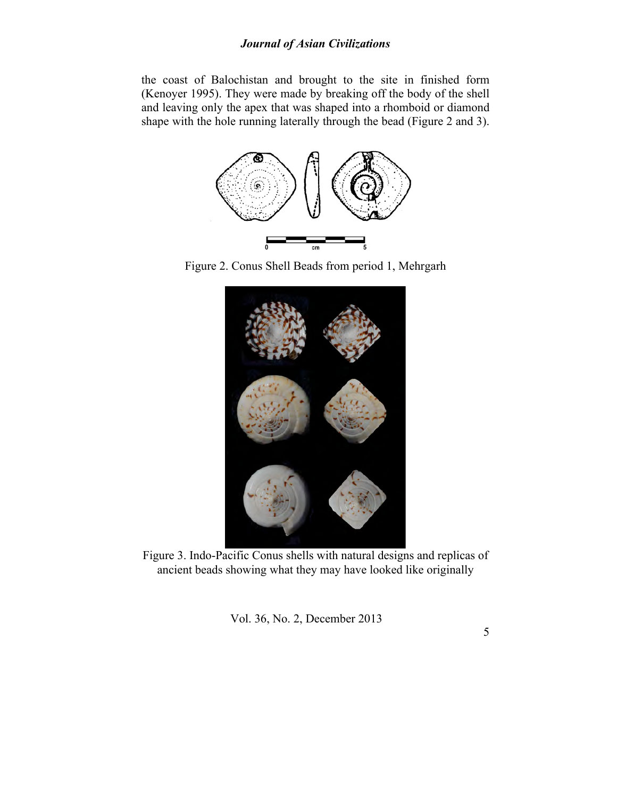the coast of Balochistan and brought to the site in finished form (Kenoyer 1995). They were made by breaking off the body of the shell and leaving only the apex that was shaped into a rhomboid or diamond shape with the hole running laterally through the bead (Figure 2 and 3).



Figure 2. Conus Shell Beads from period 1, Mehrgarh



Figure 3. Indo-Pacific Conus shells with natural designs and replicas of ancient beads showing what they may have looked like originally

Vol. 36, No. 2, December 2013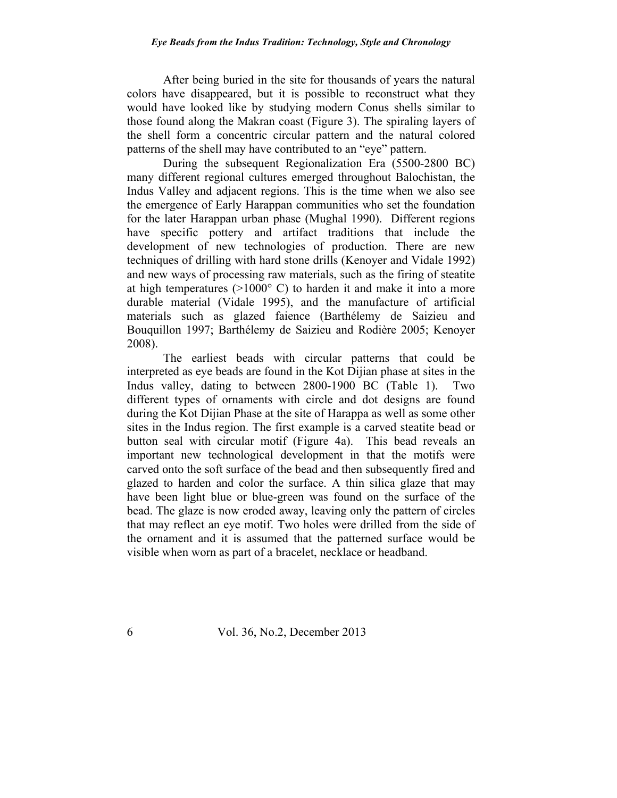After being buried in the site for thousands of years the natural colors have disappeared, but it is possible to reconstruct what they would have looked like by studying modern Conus shells similar to those found along the Makran coast (Figure 3). The spiraling layers of the shell form a concentric circular pattern and the natural colored patterns of the shell may have contributed to an "eye" pattern.

During the subsequent Regionalization Era (5500-2800 BC) many different regional cultures emerged throughout Balochistan, the Indus Valley and adjacent regions. This is the time when we also see the emergence of Early Harappan communities who set the foundation for the later Harappan urban phase (Mughal 1990). Different regions have specific pottery and artifact traditions that include the development of new technologies of production. There are new techniques of drilling with hard stone drills (Kenoyer and Vidale 1992) and new ways of processing raw materials, such as the firing of steatite at high temperatures  $(>1000^{\circ} \text{ C})$  to harden it and make it into a more durable material (Vidale 1995), and the manufacture of artificial materials such as glazed faience (Barthélemy de Saizieu and Bouquillon 1997; Barthélemy de Saizieu and Rodière 2005; Kenoyer 2008).

The earliest beads with circular patterns that could be interpreted as eye beads are found in the Kot Dijian phase at sites in the Indus valley, dating to between 2800-1900 BC (Table 1). Two different types of ornaments with circle and dot designs are found during the Kot Dijian Phase at the site of Harappa as well as some other sites in the Indus region. The first example is a carved steatite bead or button seal with circular motif (Figure 4a). This bead reveals an important new technological development in that the motifs were carved onto the soft surface of the bead and then subsequently fired and glazed to harden and color the surface. A thin silica glaze that may have been light blue or blue-green was found on the surface of the bead. The glaze is now eroded away, leaving only the pattern of circles that may reflect an eye motif. Two holes were drilled from the side of the ornament and it is assumed that the patterned surface would be visible when worn as part of a bracelet, necklace or headband.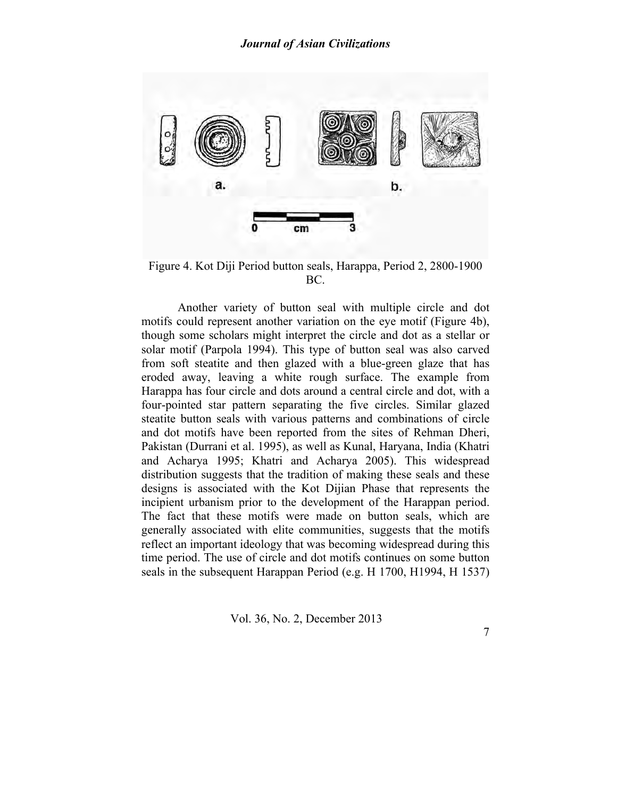

Figure 4. Kot Diji Period button seals, Harappa, Period 2, 2800-1900 BC.

Another variety of button seal with multiple circle and dot motifs could represent another variation on the eye motif (Figure 4b), though some scholars might interpret the circle and dot as a stellar or solar motif (Parpola 1994). This type of button seal was also carved from soft steatite and then glazed with a blue-green glaze that has eroded away, leaving a white rough surface. The example from Harappa has four circle and dots around a central circle and dot, with a four-pointed star pattern separating the five circles. Similar glazed steatite button seals with various patterns and combinations of circle and dot motifs have been reported from the sites of Rehman Dheri, Pakistan (Durrani et al. 1995), as well as Kunal, Haryana, India (Khatri and Acharya 1995; Khatri and Acharya 2005). This widespread distribution suggests that the tradition of making these seals and these designs is associated with the Kot Dijian Phase that represents the incipient urbanism prior to the development of the Harappan period. The fact that these motifs were made on button seals, which are generally associated with elite communities, suggests that the motifs reflect an important ideology that was becoming widespread during this time period. The use of circle and dot motifs continues on some button seals in the subsequent Harappan Period (e.g. H 1700, H1994, H 1537)

Vol. 36, No. 2, December 2013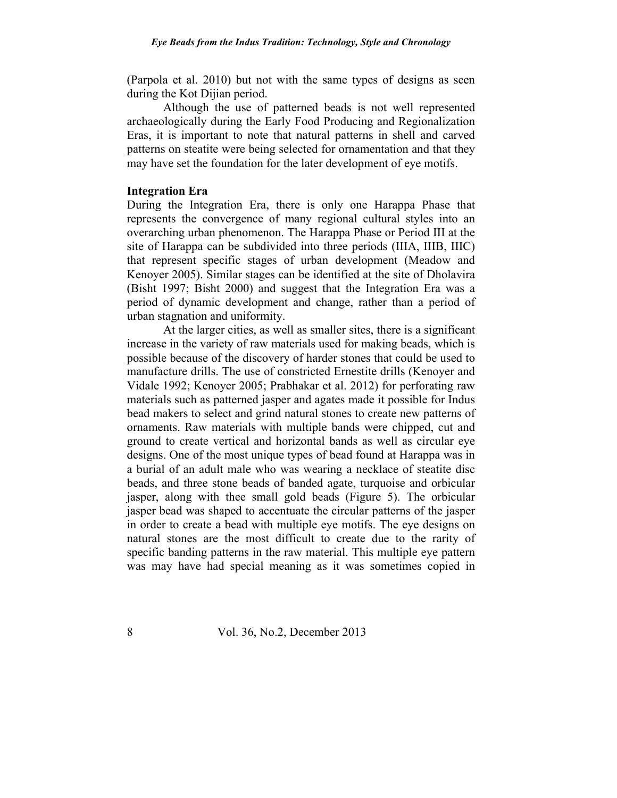(Parpola et al. 2010) but not with the same types of designs as seen during the Kot Dijian period.

Although the use of patterned beads is not well represented archaeologically during the Early Food Producing and Regionalization Eras, it is important to note that natural patterns in shell and carved patterns on steatite were being selected for ornamentation and that they may have set the foundation for the later development of eye motifs.

### **Integration Era**

During the Integration Era, there is only one Harappa Phase that represents the convergence of many regional cultural styles into an overarching urban phenomenon. The Harappa Phase or Period III at the site of Harappa can be subdivided into three periods (IIIA, IIIB, IIIC) that represent specific stages of urban development (Meadow and Kenoyer 2005). Similar stages can be identified at the site of Dholavira (Bisht 1997; Bisht 2000) and suggest that the Integration Era was a period of dynamic development and change, rather than a period of urban stagnation and uniformity.

At the larger cities, as well as smaller sites, there is a significant increase in the variety of raw materials used for making beads, which is possible because of the discovery of harder stones that could be used to manufacture drills. The use of constricted Ernestite drills (Kenoyer and Vidale 1992; Kenoyer 2005; Prabhakar et al. 2012) for perforating raw materials such as patterned jasper and agates made it possible for Indus bead makers to select and grind natural stones to create new patterns of ornaments. Raw materials with multiple bands were chipped, cut and ground to create vertical and horizontal bands as well as circular eye designs. One of the most unique types of bead found at Harappa was in a burial of an adult male who was wearing a necklace of steatite disc beads, and three stone beads of banded agate, turquoise and orbicular jasper, along with thee small gold beads (Figure 5). The orbicular jasper bead was shaped to accentuate the circular patterns of the jasper in order to create a bead with multiple eye motifs. The eye designs on natural stones are the most difficult to create due to the rarity of specific banding patterns in the raw material. This multiple eye pattern was may have had special meaning as it was sometimes copied in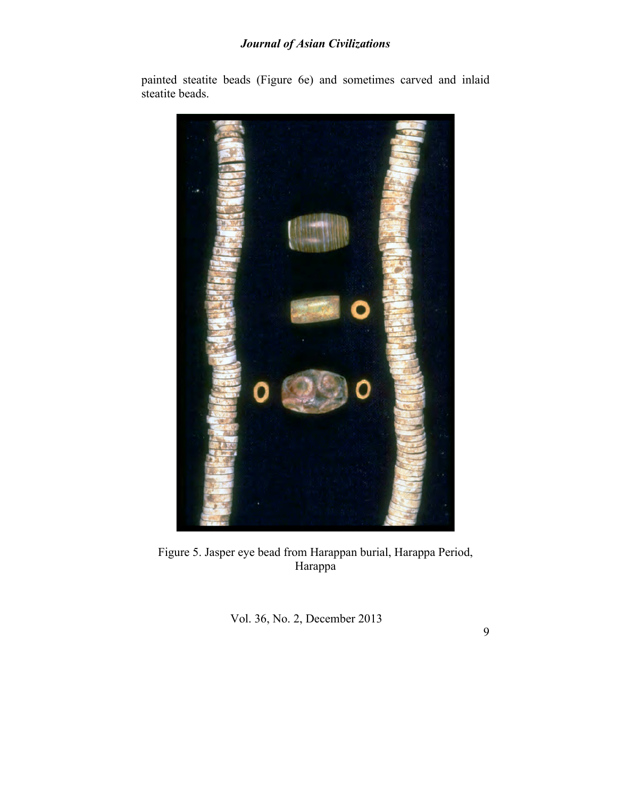

painted steatite beads (Figure 6e) and sometimes carved and inlaid steatite beads.

Figure 5. Jasper eye bead from Harappan burial, Harappa Period, Harappa

Vol. 36, No. 2, December 2013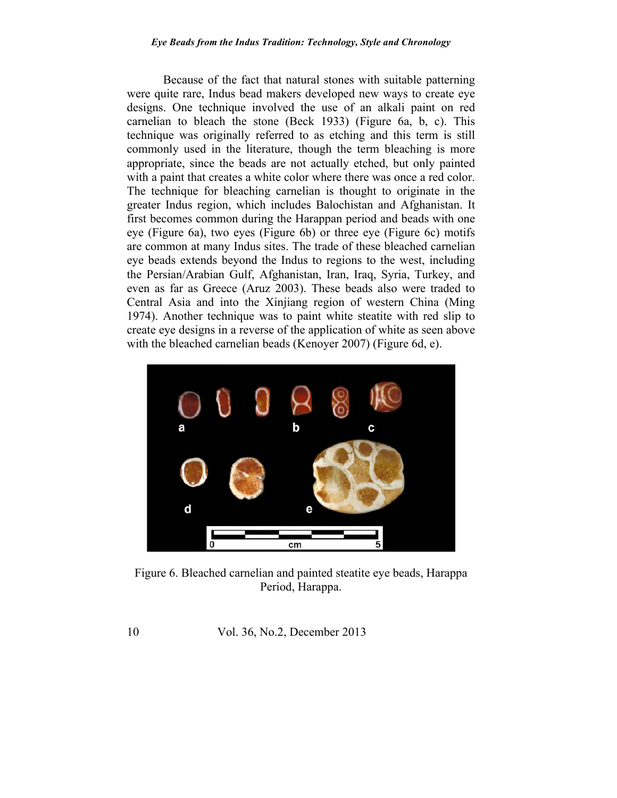#### *Eye Beads from the Indus Tradition: Technology, Style and Chronology*

Because of the fact that natural stones with suitable patterning were quite rare, Indus bead makers developed new ways to create eye designs. One technique involved the use of an alkali paint on red carnelian to bleach the stone (Beck 1933) (Figure 6a, b, c). This technique was originally referred to as etching and this term is still commonly used in the literature, though the term bleaching is more appropriate, since the beads are not actually etched, but only painted with a paint that creates a white color where there was once a red color. The technique for bleaching carnelian is thought to originate in the greater Indus region, which includes Balochistan and Afghanistan. It first becomes common during the Harappan period and beads with one eye (Figure 6a), two eyes (Figure 6b) or three eye (Figure 6c) motifs are common at many Indus sites. The trade of these bleached carnelian eye beads extends beyond the Indus to regions to the west, including the Persian/Arabian Gulf, Afghanistan, Iran, Iraq, Syria, Turkey, and even as far as Greece (Aruz 2003). These beads also were traded to Central Asia and into the Xinjiang region of western China (Ming 1974). Another technique was to paint white steatite with red slip to create eye designs in a reverse of the application of white as seen above with the bleached carnelian beads (Kenoyer 2007) (Figure 6d, e).



Figure 6. Bleached carnelian and painted steatite eye beads, Harappa Period, Harappa.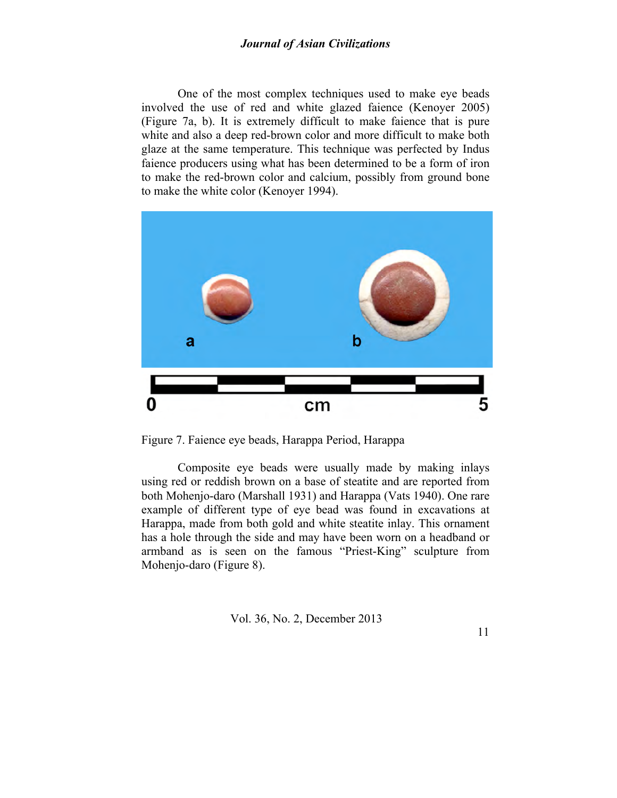One of the most complex techniques used to make eye beads involved the use of red and white glazed faience (Kenoyer 2005) (Figure 7a, b). It is extremely difficult to make faience that is pure white and also a deep red-brown color and more difficult to make both glaze at the same temperature. This technique was perfected by Indus faience producers using what has been determined to be a form of iron to make the red-brown color and calcium, possibly from ground bone to make the white color (Kenoyer 1994).



Figure 7. Faience eye beads, Harappa Period, Harappa

Composite eye beads were usually made by making inlays using red or reddish brown on a base of steatite and are reported from both Mohenjo-daro (Marshall 1931) and Harappa (Vats 1940). One rare example of different type of eye bead was found in excavations at Harappa, made from both gold and white steatite inlay. This ornament has a hole through the side and may have been worn on a headband or armband as is seen on the famous "Priest-King" sculpture from Mohenjo-daro (Figure 8).

Vol. 36, No. 2, December 2013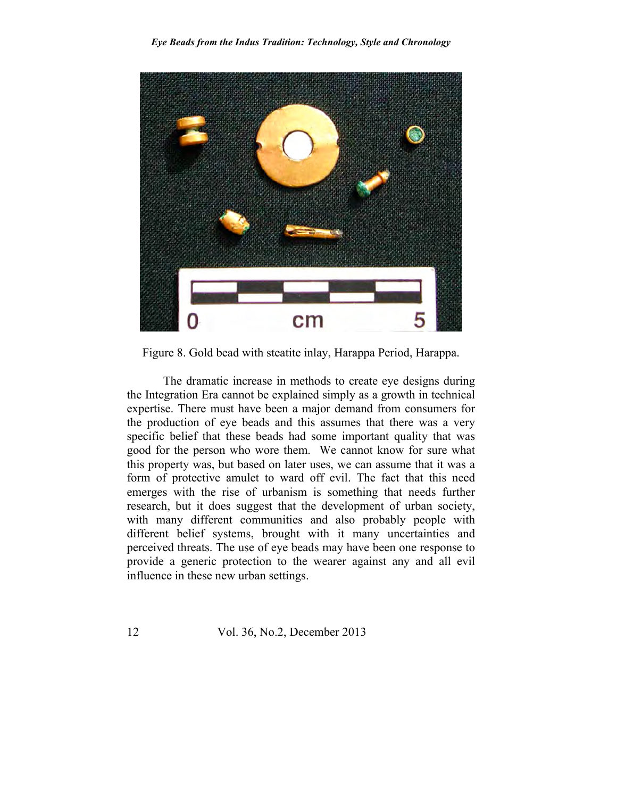

Figure 8. Gold bead with steatite inlay, Harappa Period, Harappa.

The dramatic increase in methods to create eye designs during the Integration Era cannot be explained simply as a growth in technical expertise. There must have been a major demand from consumers for the production of eye beads and this assumes that there was a very specific belief that these beads had some important quality that was good for the person who wore them. We cannot know for sure what this property was, but based on later uses, we can assume that it was a form of protective amulet to ward off evil. The fact that this need emerges with the rise of urbanism is something that needs further research, but it does suggest that the development of urban society, with many different communities and also probably people with different belief systems, brought with it many uncertainties and perceived threats. The use of eye beads may have been one response to provide a generic protection to the wearer against any and all evil influence in these new urban settings.

12 Vol. 36, No.2, December 2013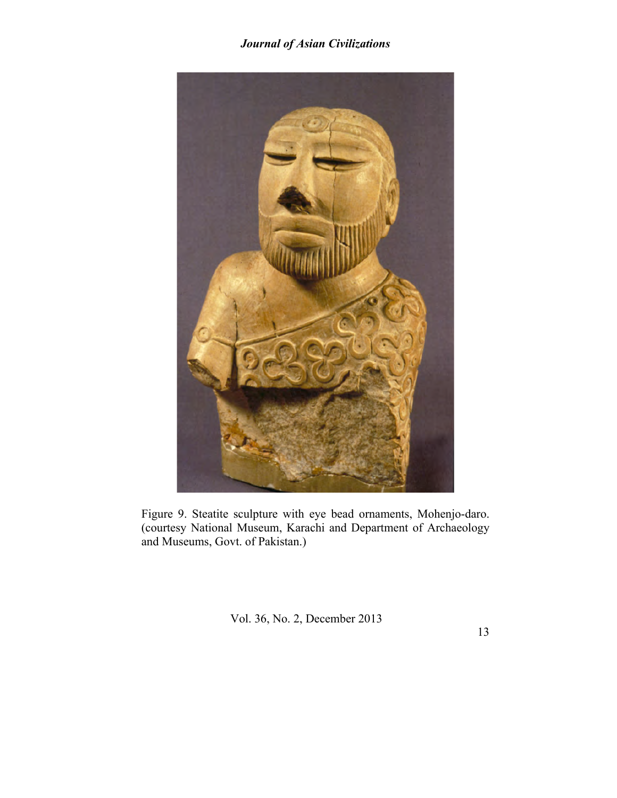

Figure 9. Steatite sculpture with eye bead ornaments, Mohenjo-daro. (courtesy National Museum, Karachi and Department of Archaeology and Museums, Govt. of Pakistan.)

Vol. 36, No. 2, December 2013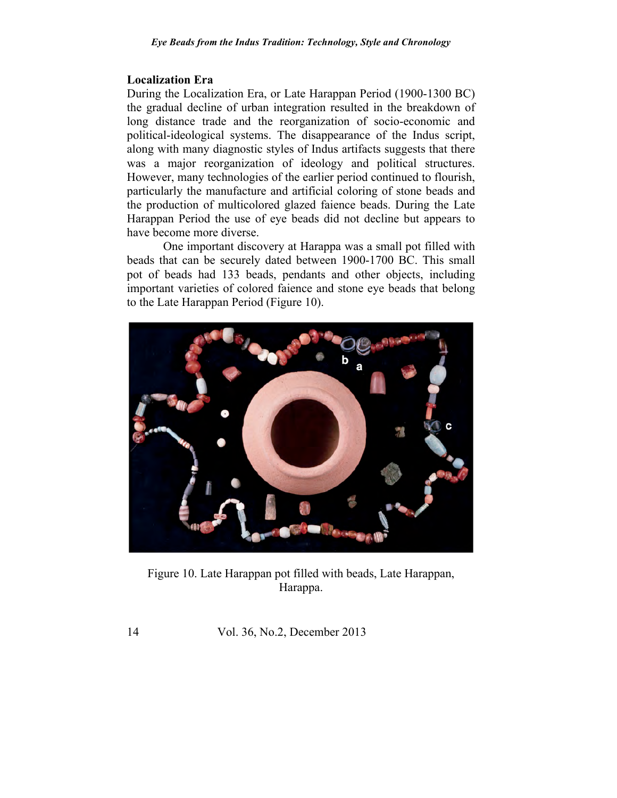## **Localization Era**

During the Localization Era, or Late Harappan Period (1900-1300 BC) the gradual decline of urban integration resulted in the breakdown of long distance trade and the reorganization of socio-economic and political-ideological systems. The disappearance of the Indus script, along with many diagnostic styles of Indus artifacts suggests that there was a major reorganization of ideology and political structures. However, many technologies of the earlier period continued to flourish, particularly the manufacture and artificial coloring of stone beads and the production of multicolored glazed faience beads. During the Late Harappan Period the use of eye beads did not decline but appears to have become more diverse.

One important discovery at Harappa was a small pot filled with beads that can be securely dated between 1900-1700 BC. This small pot of beads had 133 beads, pendants and other objects, including important varieties of colored faience and stone eye beads that belong to the Late Harappan Period (Figure 10).



Figure 10. Late Harappan pot filled with beads, Late Harappan, Harappa.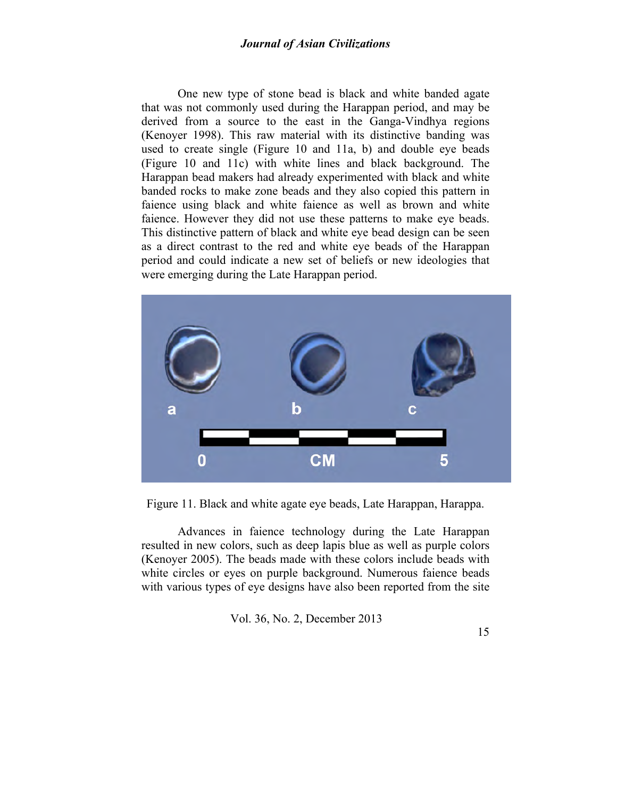One new type of stone bead is black and white banded agate that was not commonly used during the Harappan period, and may be derived from a source to the east in the Ganga-Vindhya regions (Kenoyer 1998). This raw material with its distinctive banding was used to create single (Figure 10 and 11a, b) and double eye beads (Figure 10 and 11c) with white lines and black background. The Harappan bead makers had already experimented with black and white banded rocks to make zone beads and they also copied this pattern in faience using black and white faience as well as brown and white faience. However they did not use these patterns to make eye beads. This distinctive pattern of black and white eye bead design can be seen as a direct contrast to the red and white eye beads of the Harappan period and could indicate a new set of beliefs or new ideologies that were emerging during the Late Harappan period.



Figure 11. Black and white agate eye beads, Late Harappan, Harappa.

Advances in faience technology during the Late Harappan resulted in new colors, such as deep lapis blue as well as purple colors (Kenoyer 2005). The beads made with these colors include beads with white circles or eyes on purple background. Numerous faience beads with various types of eye designs have also been reported from the site

Vol. 36, No. 2, December 2013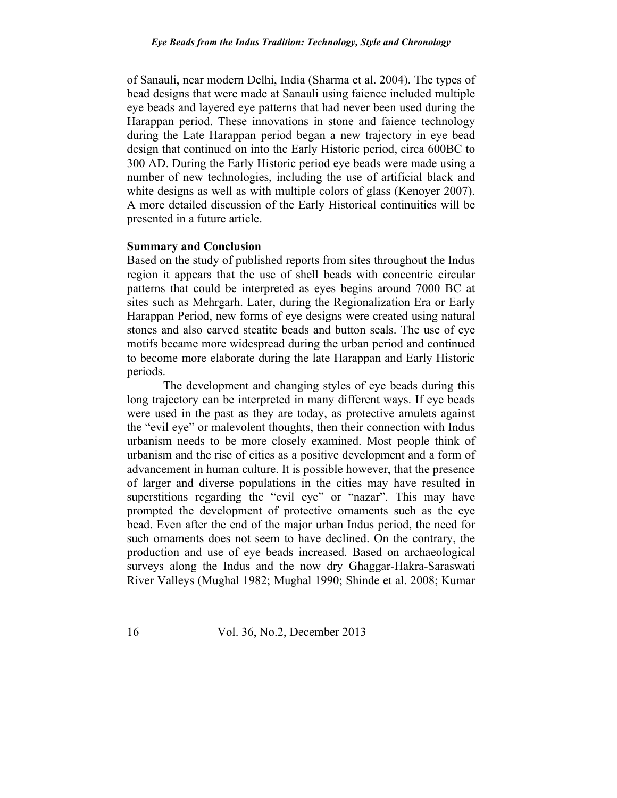of Sanauli, near modern Delhi, India (Sharma et al. 2004). The types of bead designs that were made at Sanauli using faience included multiple eye beads and layered eye patterns that had never been used during the Harappan period. These innovations in stone and faience technology during the Late Harappan period began a new trajectory in eye bead design that continued on into the Early Historic period, circa 600BC to 300 AD. During the Early Historic period eye beads were made using a number of new technologies, including the use of artificial black and white designs as well as with multiple colors of glass (Kenoyer 2007). A more detailed discussion of the Early Historical continuities will be presented in a future article.

### **Summary and Conclusion**

Based on the study of published reports from sites throughout the Indus region it appears that the use of shell beads with concentric circular patterns that could be interpreted as eyes begins around 7000 BC at sites such as Mehrgarh. Later, during the Regionalization Era or Early Harappan Period, new forms of eye designs were created using natural stones and also carved steatite beads and button seals. The use of eye motifs became more widespread during the urban period and continued to become more elaborate during the late Harappan and Early Historic periods.

The development and changing styles of eye beads during this long trajectory can be interpreted in many different ways. If eye beads were used in the past as they are today, as protective amulets against the "evil eye" or malevolent thoughts, then their connection with Indus urbanism needs to be more closely examined. Most people think of urbanism and the rise of cities as a positive development and a form of advancement in human culture. It is possible however, that the presence of larger and diverse populations in the cities may have resulted in superstitions regarding the "evil eye" or "nazar". This may have prompted the development of protective ornaments such as the eye bead. Even after the end of the major urban Indus period, the need for such ornaments does not seem to have declined. On the contrary, the production and use of eye beads increased. Based on archaeological surveys along the Indus and the now dry Ghaggar-Hakra-Saraswati River Valleys (Mughal 1982; Mughal 1990; Shinde et al. 2008; Kumar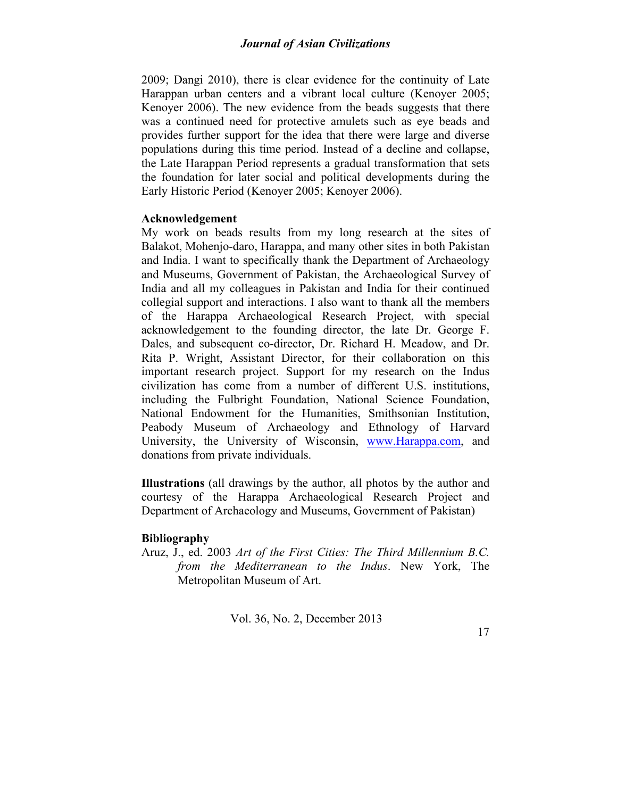2009; Dangi 2010), there is clear evidence for the continuity of Late Harappan urban centers and a vibrant local culture (Kenoyer 2005; Kenoyer 2006). The new evidence from the beads suggests that there was a continued need for protective amulets such as eye beads and provides further support for the idea that there were large and diverse populations during this time period. Instead of a decline and collapse, the Late Harappan Period represents a gradual transformation that sets the foundation for later social and political developments during the Early Historic Period (Kenoyer 2005; Kenoyer 2006).

### **Acknowledgement**

My work on beads results from my long research at the sites of Balakot, Mohenjo-daro, Harappa, and many other sites in both Pakistan and India. I want to specifically thank the Department of Archaeology and Museums, Government of Pakistan, the Archaeological Survey of India and all my colleagues in Pakistan and India for their continued collegial support and interactions. I also want to thank all the members of the Harappa Archaeological Research Project, with special acknowledgement to the founding director, the late Dr. George F. Dales, and subsequent co-director, Dr. Richard H. Meadow, and Dr. Rita P. Wright, Assistant Director, for their collaboration on this important research project. Support for my research on the Indus civilization has come from a number of different U.S. institutions, including the Fulbright Foundation, National Science Foundation, National Endowment for the Humanities, Smithsonian Institution, Peabody Museum of Archaeology and Ethnology of Harvard University, the University of Wisconsin, www.Harappa.com, and donations from private individuals.

**Illustrations** (all drawings by the author, all photos by the author and courtesy of the Harappa Archaeological Research Project and Department of Archaeology and Museums, Government of Pakistan)

### **Bibliography**

Aruz, J., ed. 2003 *Art of the First Cities: The Third Millennium B.C. from the Mediterranean to the Indus*. New York, The Metropolitan Museum of Art.

Vol. 36, No. 2, December 2013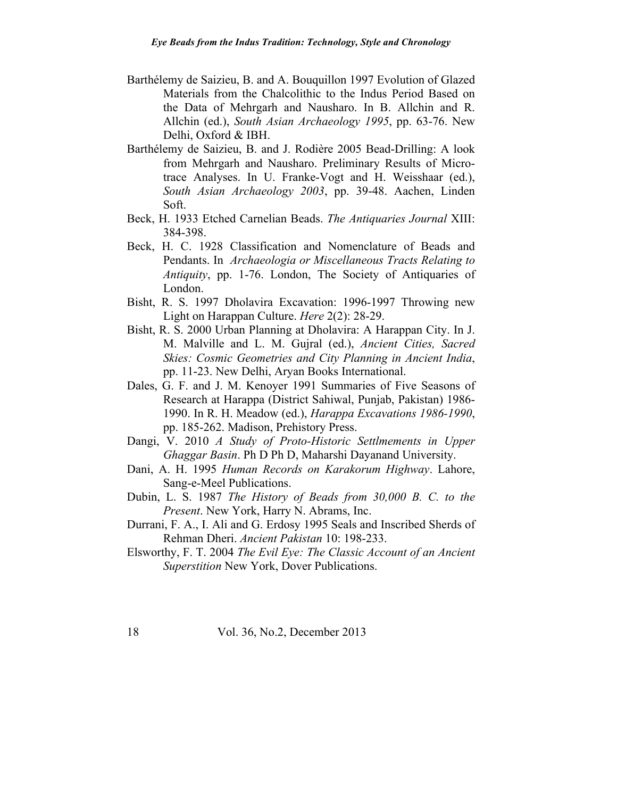- Barthélemy de Saizieu, B. and A. Bouquillon 1997 Evolution of Glazed Materials from the Chalcolithic to the Indus Period Based on the Data of Mehrgarh and Nausharo. In B. Allchin and R. Allchin (ed.), *South Asian Archaeology 1995*, pp. 63-76. New Delhi, Oxford & IBH.
- Barthélemy de Saizieu, B. and J. Rodière 2005 Bead-Drilling: A look from Mehrgarh and Nausharo. Preliminary Results of Microtrace Analyses. In U. Franke-Vogt and H. Weisshaar (ed.), *South Asian Archaeology 2003*, pp. 39-48. Aachen, Linden Soft.
- Beck, H. 1933 Etched Carnelian Beads. *The Antiquaries Journal* XIII: 384-398.
- Beck, H. C. 1928 Classification and Nomenclature of Beads and Pendants. In *Archaeologia or Miscellaneous Tracts Relating to Antiquity*, pp. 1-76. London, The Society of Antiquaries of London.
- Bisht, R. S. 1997 Dholavira Excavation: 1996-1997 Throwing new Light on Harappan Culture. *Here* 2(2): 28-29.
- Bisht, R. S. 2000 Urban Planning at Dholavira: A Harappan City. In J. M. Malville and L. M. Gujral (ed.), *Ancient Cities, Sacred Skies: Cosmic Geometries and City Planning in Ancient India*, pp. 11-23. New Delhi, Aryan Books International.
- Dales, G. F. and J. M. Kenoyer 1991 Summaries of Five Seasons of Research at Harappa (District Sahiwal, Punjab, Pakistan) 1986- 1990. In R. H. Meadow (ed.), *Harappa Excavations 1986-1990*, pp. 185-262. Madison, Prehistory Press.
- Dangi, V. 2010 *A Study of Proto-Historic Settlmements in Upper Ghaggar Basin*. Ph D Ph D, Maharshi Dayanand University.
- Dani, A. H. 1995 *Human Records on Karakorum Highway*. Lahore, Sang-e-Meel Publications.
- Dubin, L. S. 1987 *The History of Beads from 30,000 B. C. to the Present*. New York, Harry N. Abrams, Inc.
- Durrani, F. A., I. Ali and G. Erdosy 1995 Seals and Inscribed Sherds of Rehman Dheri. *Ancient Pakistan* 10: 198-233.
- Elsworthy, F. T. 2004 *The Evil Eye: The Classic Account of an Ancient Superstition* New York, Dover Publications.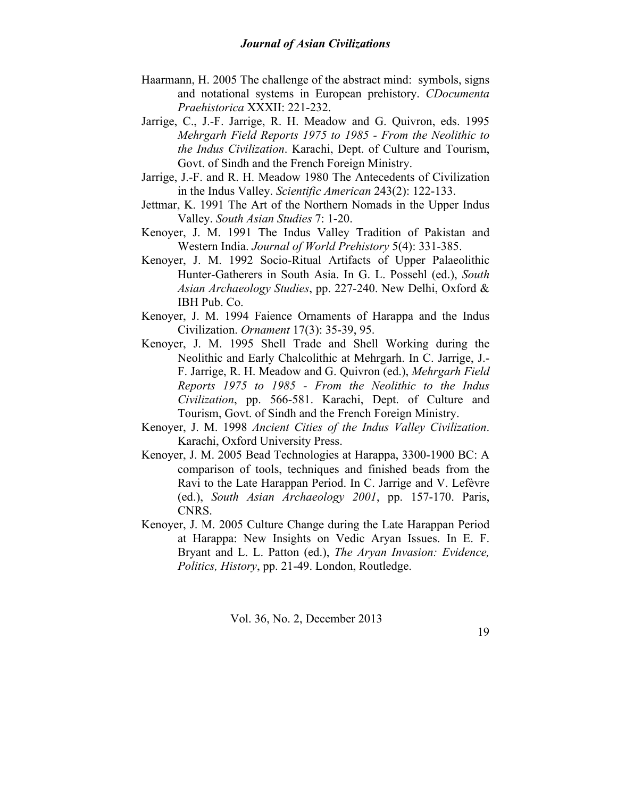- Haarmann, H. 2005 The challenge of the abstract mind: symbols, signs and notational systems in European prehistory. *CDocumenta Praehistorica* XXXII: 221-232.
- Jarrige, C., J.-F. Jarrige, R. H. Meadow and G. Quivron, eds. 1995 *Mehrgarh Field Reports 1975 to 1985 - From the Neolithic to the Indus Civilization*. Karachi, Dept. of Culture and Tourism, Govt. of Sindh and the French Foreign Ministry.
- Jarrige, J.-F. and R. H. Meadow 1980 The Antecedents of Civilization in the Indus Valley. *Scientific American* 243(2): 122-133.
- Jettmar, K. 1991 The Art of the Northern Nomads in the Upper Indus Valley. *South Asian Studies* 7: 1-20.
- Kenoyer, J. M. 1991 The Indus Valley Tradition of Pakistan and Western India. *Journal of World Prehistory* 5(4): 331-385.
- Kenoyer, J. M. 1992 Socio-Ritual Artifacts of Upper Palaeolithic Hunter-Gatherers in South Asia. In G. L. Possehl (ed.), *South Asian Archaeology Studies*, pp. 227-240. New Delhi, Oxford & IBH Pub. Co.
- Kenoyer, J. M. 1994 Faience Ornaments of Harappa and the Indus Civilization. *Ornament* 17(3): 35-39, 95.
- Kenoyer, J. M. 1995 Shell Trade and Shell Working during the Neolithic and Early Chalcolithic at Mehrgarh. In C. Jarrige, J.- F. Jarrige, R. H. Meadow and G. Quivron (ed.), *Mehrgarh Field Reports 1975 to 1985 - From the Neolithic to the Indus Civilization*, pp. 566-581. Karachi, Dept. of Culture and Tourism, Govt. of Sindh and the French Foreign Ministry.
- Kenoyer, J. M. 1998 *Ancient Cities of the Indus Valley Civilization*. Karachi, Oxford University Press.
- Kenoyer, J. M. 2005 Bead Technologies at Harappa, 3300-1900 BC: A comparison of tools, techniques and finished beads from the Ravi to the Late Harappan Period. In C. Jarrige and V. Lefèvre (ed.), *South Asian Archaeology 2001*, pp. 157-170. Paris, CNRS.
- Kenoyer, J. M. 2005 Culture Change during the Late Harappan Period at Harappa: New Insights on Vedic Aryan Issues. In E. F. Bryant and L. L. Patton (ed.), *The Aryan Invasion: Evidence, Politics, History*, pp. 21-49. London, Routledge.

Vol. 36, No. 2, December 2013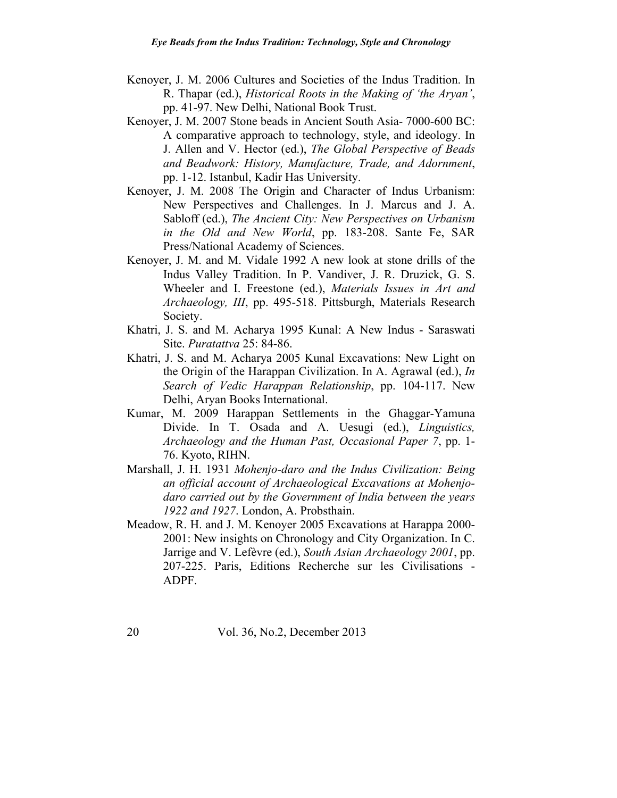- Kenoyer, J. M. 2006 Cultures and Societies of the Indus Tradition. In R. Thapar (ed.), *Historical Roots in the Making of 'the Aryan'*, pp. 41-97. New Delhi, National Book Trust.
- Kenoyer, J. M. 2007 Stone beads in Ancient South Asia- 7000-600 BC: A comparative approach to technology, style, and ideology. In J. Allen and V. Hector (ed.), *The Global Perspective of Beads and Beadwork: History, Manufacture, Trade, and Adornment*, pp. 1-12. Istanbul, Kadir Has University.
- Kenoyer, J. M. 2008 The Origin and Character of Indus Urbanism: New Perspectives and Challenges. In J. Marcus and J. A. Sabloff (ed.), *The Ancient City: New Perspectives on Urbanism in the Old and New World*, pp. 183-208. Sante Fe, SAR Press/National Academy of Sciences.
- Kenoyer, J. M. and M. Vidale 1992 A new look at stone drills of the Indus Valley Tradition. In P. Vandiver, J. R. Druzick, G. S. Wheeler and I. Freestone (ed.), *Materials Issues in Art and Archaeology, III*, pp. 495-518. Pittsburgh, Materials Research Society.
- Khatri, J. S. and M. Acharya 1995 Kunal: A New Indus Saraswati Site. *Puratattva* 25: 84-86.
- Khatri, J. S. and M. Acharya 2005 Kunal Excavations: New Light on the Origin of the Harappan Civilization. In A. Agrawal (ed.), *In Search of Vedic Harappan Relationship*, pp. 104-117. New Delhi, Aryan Books International.
- Kumar, M. 2009 Harappan Settlements in the Ghaggar-Yamuna Divide. In T. Osada and A. Uesugi (ed.), *Linguistics, Archaeology and the Human Past, Occasional Paper 7*, pp. 1- 76. Kyoto, RIHN.
- Marshall, J. H. 1931 *Mohenjo-daro and the Indus Civilization: Being an official account of Archaeological Excavations at Mohenjodaro carried out by the Government of India between the years 1922 and 1927*. London, A. Probsthain.
- Meadow, R. H. and J. M. Kenoyer 2005 Excavations at Harappa 2000- 2001: New insights on Chronology and City Organization. In C. Jarrige and V. Lefèvre (ed.), *South Asian Archaeology 2001*, pp. 207-225. Paris, Editions Recherche sur les Civilisations - ADPF.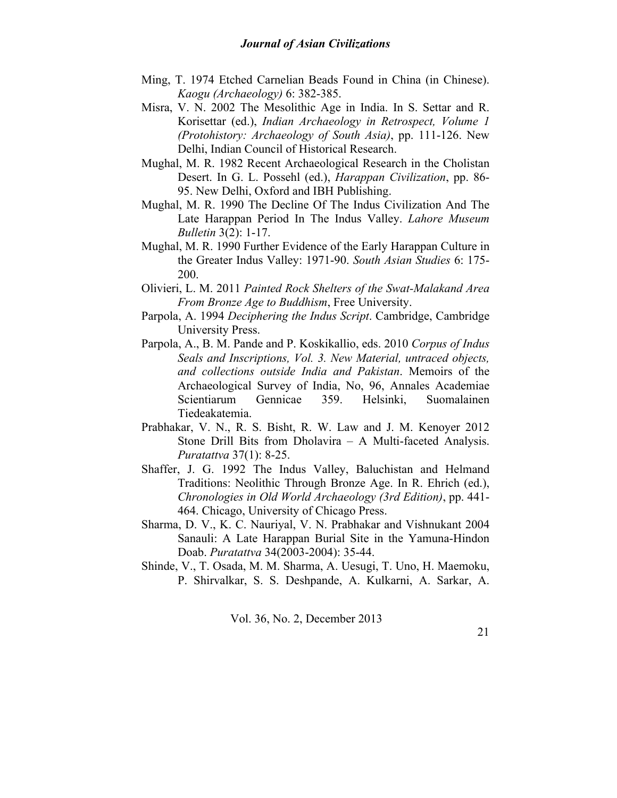- Ming, T. 1974 Etched Carnelian Beads Found in China (in Chinese). *Kaogu (Archaeology)* 6: 382-385.
- Misra, V. N. 2002 The Mesolithic Age in India. In S. Settar and R. Korisettar (ed.), *Indian Archaeology in Retrospect, Volume 1 (Protohistory: Archaeology of South Asia)*, pp. 111-126. New Delhi, Indian Council of Historical Research.
- Mughal, M. R. 1982 Recent Archaeological Research in the Cholistan Desert. In G. L. Possehl (ed.), *Harappan Civilization*, pp. 86- 95. New Delhi, Oxford and IBH Publishing.
- Mughal, M. R. 1990 The Decline Of The Indus Civilization And The Late Harappan Period In The Indus Valley. *Lahore Museum Bulletin* 3(2): 1-17.
- Mughal, M. R. 1990 Further Evidence of the Early Harappan Culture in the Greater Indus Valley: 1971-90. *South Asian Studies* 6: 175- 200.
- Olivieri, L. M. 2011 *Painted Rock Shelters of the Swat-Malakand Area From Bronze Age to Buddhism*, Free University.
- Parpola, A. 1994 *Deciphering the Indus Script*. Cambridge, Cambridge University Press.
- Parpola, A., B. M. Pande and P. Koskikallio, eds. 2010 *Corpus of Indus Seals and Inscriptions, Vol. 3. New Material, untraced objects, and collections outside India and Pakistan*. Memoirs of the Archaeological Survey of India, No, 96, Annales Academiae Scientiarum Gennicae 359. Helsinki, Suomalainen Tiedeakatemia.
- Prabhakar, V. N., R. S. Bisht, R. W. Law and J. M. Kenoyer 2012 Stone Drill Bits from Dholavira – A Multi-faceted Analysis. *Puratattva* 37(1): 8-25.
- Shaffer, J. G. 1992 The Indus Valley, Baluchistan and Helmand Traditions: Neolithic Through Bronze Age. In R. Ehrich (ed.), *Chronologies in Old World Archaeology (3rd Edition)*, pp. 441- 464. Chicago, University of Chicago Press.
- Sharma, D. V., K. C. Nauriyal, V. N. Prabhakar and Vishnukant 2004 Sanauli: A Late Harappan Burial Site in the Yamuna-Hindon Doab. *Puratattva* 34(2003-2004): 35-44.
- Shinde, V., T. Osada, M. M. Sharma, A. Uesugi, T. Uno, H. Maemoku, P. Shirvalkar, S. S. Deshpande, A. Kulkarni, A. Sarkar, A.

Vol. 36, No. 2, December 2013